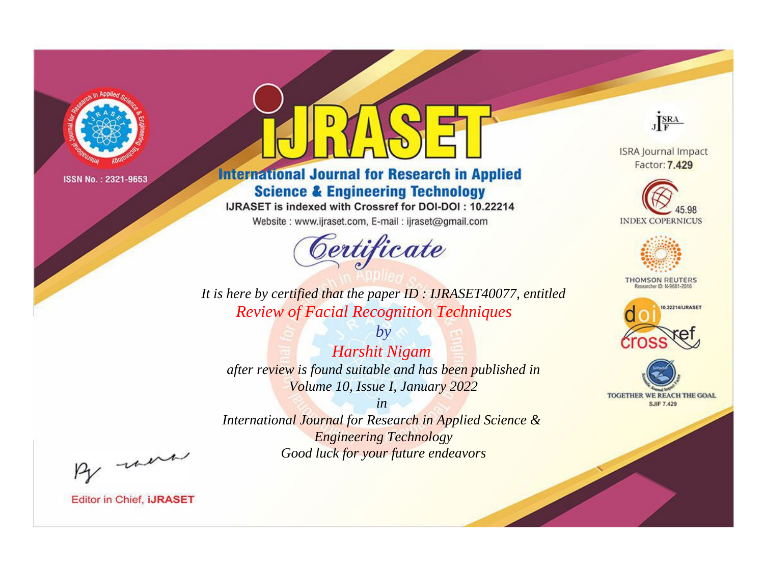

# **International Journal for Research in Applied Science & Engineering Technology**

IJRASET is indexed with Crossref for DOI-DOI: 10.22214

Website: www.ijraset.com, E-mail: ijraset@gmail.com



JERA **ISRA Journal Impact** 

Factor: 7.429





**THOMSON REUTERS** 



TOGETHER WE REACH THE GOAL **SJIF 7.429** 

It is here by certified that the paper ID: IJRASET40077, entitled **Review of Facial Recognition Techniques** 

 $by$ **Harshit Nigam** after review is found suitable and has been published in Volume 10, Issue I, January 2022

 $in$ International Journal for Research in Applied Science & **Engineering Technology** Good luck for your future endeavors

By morn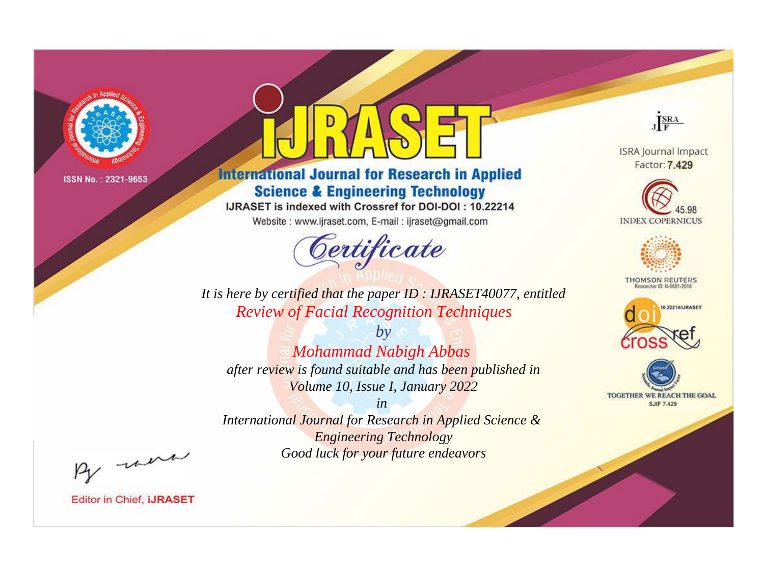

# **International Journal for Research in Applied Science & Engineering Technology**

IJRASET is indexed with Crossref for DOI-DOI: 10.22214

Website: www.ijraset.com, E-mail: ijraset@gmail.com



JERA

**ISRA Journal Impact** Factor: 7.429





**THOMSON REUTERS** 



TOGETHER WE REACH THE GOAL **SJIF 7.429** 

It is here by certified that the paper ID: IJRASET40077, entitled **Review of Facial Recognition Techniques** 

 $by$ **Mohammad Nabigh Abbas** after review is found suitable and has been published in Volume 10, Issue I, January 2022

 $in$ International Journal for Research in Applied Science & **Engineering Technology** Good luck for your future endeavors

By morn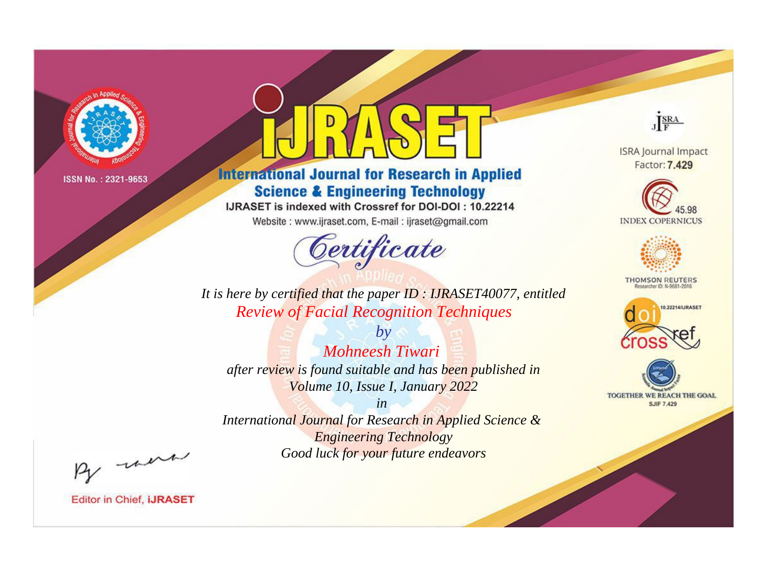

# **International Journal for Research in Applied Science & Engineering Technology**

IJRASET is indexed with Crossref for DOI-DOI: 10.22214

Website: www.ijraset.com, E-mail: ijraset@gmail.com



JERA

**ISRA Journal Impact** Factor: 7.429





**THOMSON REUTERS** 



TOGETHER WE REACH THE GOAL **SJIF 7.429** 

It is here by certified that the paper ID: IJRASET40077, entitled **Review of Facial Recognition Techniques** 

 $b\nu$ **Mohneesh Tiwari** after review is found suitable and has been published in Volume 10, Issue I, January 2022

 $in$ International Journal for Research in Applied Science & **Engineering Technology** Good luck for your future endeavors

By morn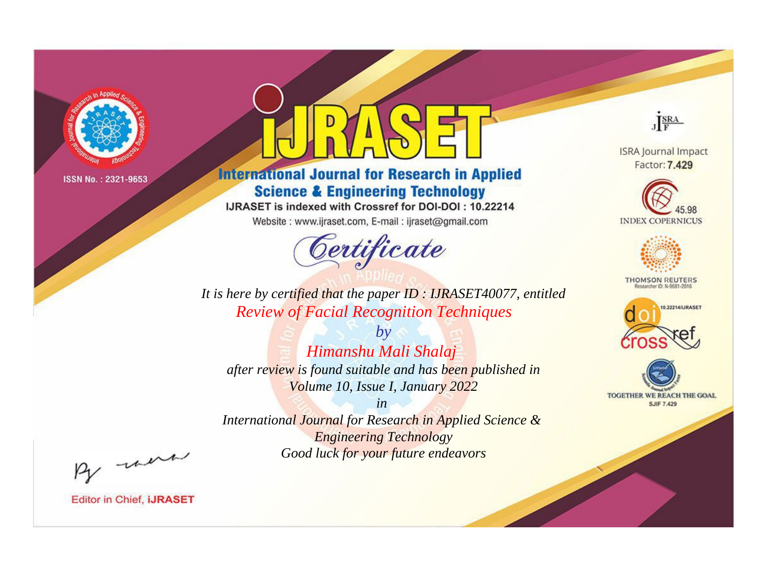

# **International Journal for Research in Applied Science & Engineering Technology**

IJRASET is indexed with Crossref for DOI-DOI: 10.22214

Website: www.ijraset.com, E-mail: ijraset@gmail.com



JERA

**ISRA Journal Impact** Factor: 7.429





**THOMSON REUTERS** 



TOGETHER WE REACH THE GOAL **SJIF 7.429** 

It is here by certified that the paper ID: IJRASET40077, entitled **Review of Facial Recognition Techniques** 

Himanshu Mali Shalaj after review is found suitable and has been published in Volume 10, Issue I, January 2022

 $b\nu$ 

 $in$ International Journal for Research in Applied Science & **Engineering Technology** Good luck for your future endeavors

By morn